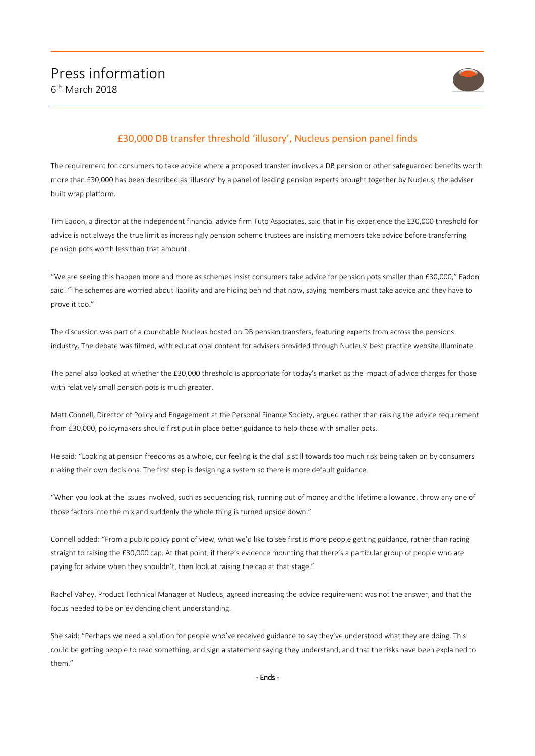

## £30,000 DB transfer threshold 'illusory', Nucleus pension panel finds

The requirement for consumers to take advice where a proposed transfer involves a DB pension or other safeguarded benefits worth more than £30,000 has been described as 'illusory' by a panel of leading pension experts brought together by Nucleus, the adviser built wrap platform.

Tim Eadon, a director at the independent financial advice firm Tuto Associates, said that in his experience the £30,000 threshold for advice is not always the true limit as increasingly pension scheme trustees are insisting members take advice before transferring pension pots worth less than that amount.

"We are seeing this happen more and more as schemes insist consumers take advice for pension pots smaller than £30,000," Eadon said. "The schemes are worried about liability and are hiding behind that now, saying members must take advice and they have to prove it too."

The discussion was part of a roundtable Nucleus hosted on DB pension transfers, featuring experts from across the pensions industry. The debate was filmed, with educational content for advisers provided through Nucleus' best practice website Illuminate.

The panel also looked at whether the £30,000 threshold is appropriate for today's market as the impact of advice charges for those with relatively small pension pots is much greater.

Matt Connell, Director of Policy and Engagement at the Personal Finance Society, argued rather than raising the advice requirement from £30,000, policymakers should first put in place better guidance to help those with smaller pots.

He said: "Looking at pension freedoms as a whole, our feeling is the dial is still towards too much risk being taken on by consumers making their own decisions. The first step is designing a system so there is more default guidance.

"When you look at the issues involved, such as sequencing risk, running out of money and the lifetime allowance, throw any one of those factors into the mix and suddenly the whole thing is turned upside down."

Connell added: "From a public policy point of view, what we'd like to see first is more people getting guidance, rather than racing straight to raising the £30,000 cap. At that point, if there's evidence mounting that there's a particular group of people who are paying for advice when they shouldn't, then look at raising the cap at that stage."

Rachel Vahey, Product Technical Manager at Nucleus, agreed increasing the advice requirement was not the answer, and that the focus needed to be on evidencing client understanding.

She said: "Perhaps we need a solution for people who've received guidance to say they've understood what they are doing. This could be getting people to read something, and sign a statement saying they understand, and that the risks have been explained to them."